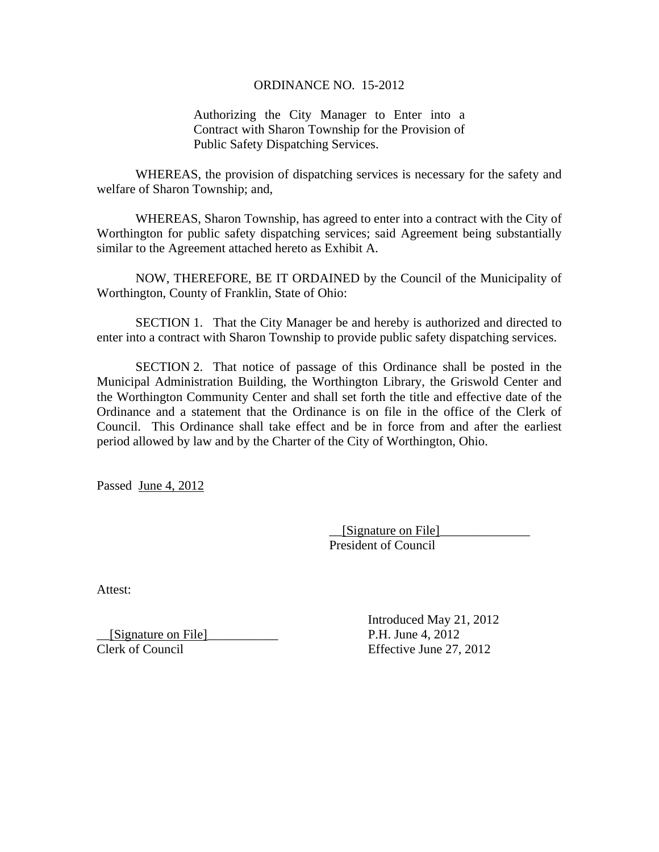## ORDINANCE NO. 15-2012

Authorizing the City Manager to Enter into a Contract with Sharon Township for the Provision of Public Safety Dispatching Services.

 WHEREAS, the provision of dispatching services is necessary for the safety and welfare of Sharon Township; and,

 WHEREAS, Sharon Township, has agreed to enter into a contract with the City of Worthington for public safety dispatching services; said Agreement being substantially similar to the Agreement attached hereto as Exhibit A.

 NOW, THEREFORE, BE IT ORDAINED by the Council of the Municipality of Worthington, County of Franklin, State of Ohio:

 SECTION 1. That the City Manager be and hereby is authorized and directed to enter into a contract with Sharon Township to provide public safety dispatching services.

 SECTION 2. That notice of passage of this Ordinance shall be posted in the Municipal Administration Building, the Worthington Library, the Griswold Center and the Worthington Community Center and shall set forth the title and effective date of the Ordinance and a statement that the Ordinance is on file in the office of the Clerk of Council. This Ordinance shall take effect and be in force from and after the earliest period allowed by law and by the Charter of the City of Worthington, Ohio.

Passed June 4, 2012

 \_\_[Signature on File]\_\_\_\_\_\_\_\_\_\_\_\_\_\_ President of Council

Attest:

[Signature on File] P.H. June 4, 2012

 Introduced May 21, 2012 Clerk of Council Effective June 27, 2012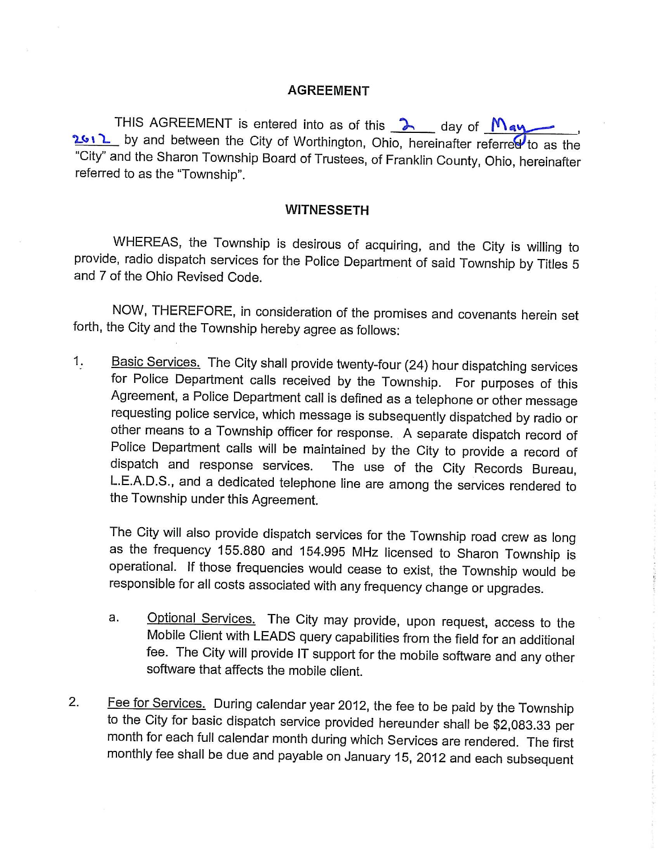## **AGREEMENT**

THIS AGREEMENT is entered into as of this  $\lambda$  day of May 2012 by and between the City of Worthington, Ohio, hereinafter referred to as the "City" and the Sharon Township Board of Trustees, of Franklin County, Ohio, hereinafter referred to as the "Township".

## **WITNESSETH**

WHEREAS, the Township is desirous of acquiring, and the City is willing to provide, radio dispatch services for the Police Department of said Township by Titles 5 and 7 of the Ohio Revised Code.

NOW, THEREFORE, in consideration of the promises and covenants herein set forth, the City and the Township hereby agree as follows:

Basic Services. The City shall provide twenty-four (24) hour dispatching services 1. for Police Department calls received by the Township. For purposes of this Agreement, a Police Department call is defined as a telephone or other message requesting police service, which message is subsequently dispatched by radio or other means to a Township officer for response. A separate dispatch record of Police Department calls will be maintained by the City to provide a record of dispatch and response services. The use of the City Records Bureau, L.E.A.D.S., and a dedicated telephone line are among the services rendered to the Township under this Agreement.

The City will also provide dispatch services for the Township road crew as long as the frequency 155.880 and 154.995 MHz licensed to Sharon Township is operational. If those frequencies would cease to exist, the Township would be responsible for all costs associated with any frequency change or upgrades.

- Optional Services. The City may provide, upon request, access to the a. Mobile Client with LEADS query capabilities from the field for an additional fee. The City will provide IT support for the mobile software and any other software that affects the mobile client.
- Fee for Services. During calendar year 2012, the fee to be paid by the Township  $2.$ to the City for basic dispatch service provided hereunder shall be \$2,083.33 per month for each full calendar month during which Services are rendered. The first monthly fee shall be due and payable on January 15, 2012 and each subsequent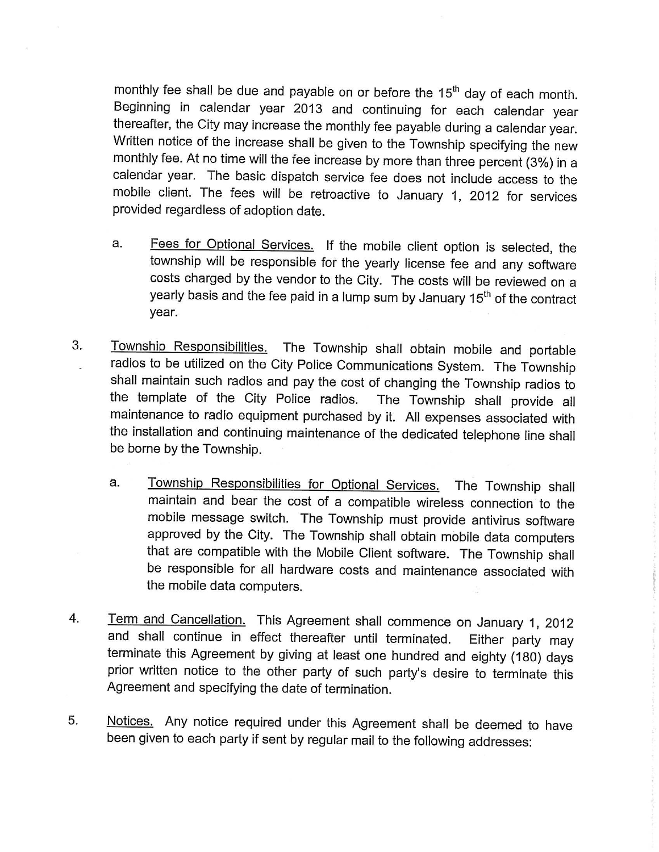monthly fee shall be due and payable on or before the 15<sup>th</sup> day of each month. Beginning in calendar year 2013 and continuing for each calendar year thereafter, the City may increase the monthly fee payable during a calendar year. Written notice of the increase shall be given to the Township specifying the new monthly fee. At no time will the fee increase by more than three percent (3%) in a calendar year. The basic dispatch service fee does not include access to the mobile client. The fees will be retroactive to January 1, 2012 for services provided regardless of adoption date.

- Fees for Optional Services. If the mobile client option is selected, the a. township will be responsible for the yearly license fee and any software costs charged by the vendor to the City. The costs will be reviewed on a yearly basis and the fee paid in a lump sum by January 15<sup>th</sup> of the contract year.
- 3. Township Responsibilities. The Township shall obtain mobile and portable radios to be utilized on the City Police Communications System. The Township shall maintain such radios and pay the cost of changing the Township radios to the template of the City Police radios. The Township shall provide all maintenance to radio equipment purchased by it. All expenses associated with the installation and continuing maintenance of the dedicated telephone line shall be borne by the Township.
	- Township Responsibilities for Optional Services. The Township shall a. maintain and bear the cost of a compatible wireless connection to the mobile message switch. The Township must provide antivirus software approved by the City. The Township shall obtain mobile data computers that are compatible with the Mobile Client software. The Township shall be responsible for all hardware costs and maintenance associated with the mobile data computers.
- $4.$ Term and Cancellation. This Agreement shall commence on January 1, 2012 and shall continue in effect thereafter until terminated. Either party may terminate this Agreement by giving at least one hundred and eighty (180) days prior written notice to the other party of such party's desire to terminate this Agreement and specifying the date of termination.
- 5. Notices. Any notice required under this Agreement shall be deemed to have been given to each party if sent by regular mail to the following addresses: